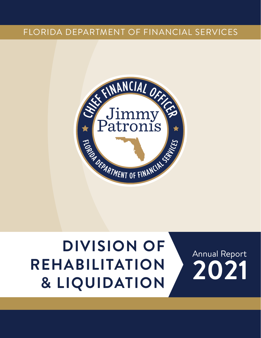### FLORIDA DEPARTMENT OF FINANCIAL SERVICES



## **DIVISION OF REHABILITATION & LIQUIDATION 2021** Annual Report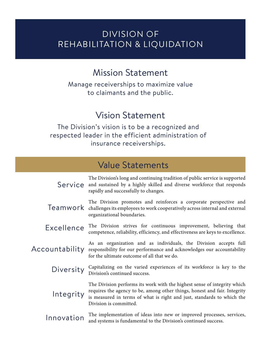### DIVISION OF REHABILITATION & LIQUIDATION

### Mission Statement

Manage receiverships to maximize value to claimants and the public.

### Vision Statement

The Division's vision is to be a recognized and respected leader in the efficient administration of insurance receiverships.

### Value Statements

| The Division's long and continuing tradition of public service is supported<br>Service and sustained by a highly skilled and diverse workforce that responds<br>rapidly and successfully to changes.                                                                   |  |
|------------------------------------------------------------------------------------------------------------------------------------------------------------------------------------------------------------------------------------------------------------------------|--|
| The Division promotes and reinforces a corporate perspective and<br>Teamwork challenges its employees to work cooperatively across internal and external<br>organizational boundaries.                                                                                 |  |
| The Division strives for continuous improvement, believing that<br>Excellence<br>competence, reliability, efficiency, and effectiveness are keys to excellence.                                                                                                        |  |
| As an organization and as individuals, the Division accepts full<br>Accountability<br>responsibility for our performance and acknowledges our accountability<br>for the ultimate outcome of all that we do.                                                            |  |
| Capitalizing on the varied experiences of its workforce is key to the<br>Diversity<br>Division's continued success.                                                                                                                                                    |  |
| The Division performs its work with the highest sense of integrity which<br>requires the agency to be, among other things, honest and fair. Integrity<br>Integrity<br>is measured in terms of what is right and just, standards to which the<br>Division is committed. |  |
| The implementation of ideas into new or improved processes, services,<br>Innovation<br>and systems is fundamental to the Division's continued success.                                                                                                                 |  |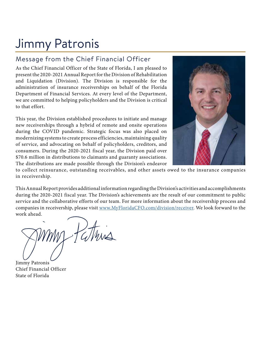## Jimmy Patronis

#### Message from the Chief Financial Officer

As the Chief Financial Officer of the State of Florida, I am pleased to present the 2020-2021 Annual Report for the Division of Rehabilitation and Liquidation (Division). The Division is responsible for the administration of insurance receiverships on behalf of the Florida Department of Financial Services. At every level of the Department, we are committed to helping policyholders and the Division is critical to that effort.

This year, the Division established procedures to initiate and manage new receiverships through a hybrid of remote and onsite operations during the COVID pandemic. Strategic focus was also placed on modernizing systems to create process efficiencies, maintaining quality of service, and advocating on behalf of policyholders, creditors, and consumers. During the 2020-2021 fiscal year, the Division paid over \$70.6 million in distributions to claimants and guaranty associations. The distributions are made possible through the Division's endeavor



to collect reinsurance, outstanding receivables, and other assets owed to the insurance companies in receivership.

This Annual Report provides additional information regarding the Division's activities and accomplishments during the 2020-2021 fiscal year. The Division's achievements are the result of our commitment to public service and the collaborative efforts of our team. For more information about the receivership process and companies in receivership, please visit www.MyFloridaCFO.com/division/receiver. We look forward to the work ahead.

Jimmy Patronis Chief Financial Officer State of Florida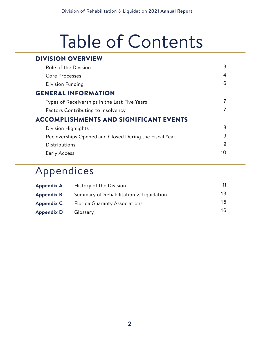# Table of Contents

### DIVISION OVERVIEW

| Role of the Division                                   | 3  |
|--------------------------------------------------------|----|
| Core Processes                                         | 4  |
| Division Funding                                       | 6  |
| <b>GENERAL INFORMATION</b>                             |    |
| Types of Receiverships in the Last Five Years          |    |
| <b>Factors Contributing to Insolvency</b>              |    |
| <b>ACCOMPLISHMENTS AND SIGNIFICANT EVENTS</b>          |    |
| Division Highlights                                    | 8  |
| Recieverships Opened and Closed During the Fiscal Year | 9  |
| Distributions                                          | 9  |
| Early Access                                           | 10 |
|                                                        |    |

### Appendices

| Appendix A | History of the Division                  |    |
|------------|------------------------------------------|----|
| Appendix B | Summary of Rehabilitation v. Liquidation | 13 |
| Appendix C | <b>Florida Guaranty Associations</b>     | 15 |
| Appendix D | Glossary                                 | 16 |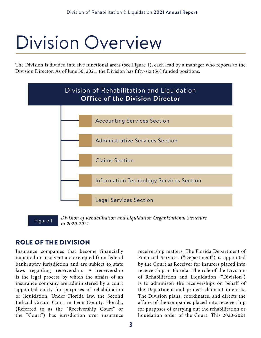# Division Overview

The Division is divided into five functional areas (see Figure 1), each lead by a manager who reports to the Division Director. As of June 30, 2021, the Division has fifty-six (56) funded positions.



Figure 1 *Division of Rehabilitation and Liquidation Organizational Structure in 2020-2021*

#### ROLE OF THE DIVISION

Insurance companies that become financially impaired or insolvent are exempted from federal bankruptcy jurisdiction and are subject to state laws regarding receivership. A receivership is the legal process by which the affairs of an insurance company are administered by a court appointed entity for purposes of rehabilitation or liquidation. Under Florida law, the Second Judicial Circuit Court in Leon County, Florida, (Referred to as the "Receivership Court" or the "Court") has jurisdiction over insurance

receivership matters. The Florida Department of Financial Services ("Department") is appointed by the Court as Receiver for insurers placed into receivership in Florida. The role of the Division of Rehabilitation and Liquidation ("Division") is to administer the receiverships on behalf of the Department and protect claimant interests. The Division plans, coordinates, and directs the affairs of the companies placed into receivership for purposes of carrying out the rehabilitation or liquidation order of the Court. This 2020-2021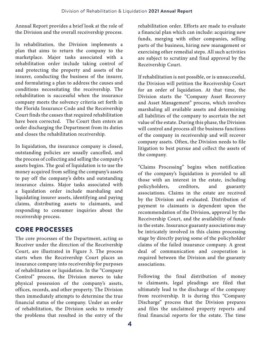Annual Report provides a brief look at the role of the Division and the overall receivership process.

In rehabilitation, the Division implements a plan that aims to return the company to the marketplace. Major tasks associated with a rehabilitation order include taking control of and protecting the property and assets of the insurer, conducting the business of the insurer, and formulating a plan to address the causes and conditions necessitating the receivership. The rehabilitation is successful when the insurance company meets the solvency criteria set forth in the Florida Insurance Code and the Receivership Court finds the causes that required rehabilitation have been corrected. The Court then enters an order discharging the Department from its duties and closes the rehabilitation receivership.

In liquidation, the insurance company is closed, outstanding policies are usually cancelled, and the process of collecting and selling the company's assets begins. The goal of liquidation is to use the money acquired from selling the company's assets to pay off the company's debts and outstanding insurance claims. Major tasks associated with a liquidation order include marshaling and liquidating insurer assets, identifying and paying claims, distributing assets to claimants, and responding to consumer inquiries about the receivership process.

#### CORE PROCESSES

The core processes of the Department, acting as Receiver under the direction of the Receivership Court, are illustrated in Figure 3. The process starts when the Receivership Court places an insurance company into receivership for purposes of rehabilitation or liquidation. In the "Company Control" process, the Division moves to take physical possession of the company's assets, offices, records, and other property. The Division then immediately attempts to determine the true financial status of the company. Under an order of rehabilitation, the Division seeks to remedy the problems that resulted in the entry of the

rehabilitation order. Efforts are made to evaluate a financial plan which can include: acquiring new funds, merging with other companies, selling parts of the business, hiring new management or exercising other remedial steps. All such activities are subject to scrutiny and final approval by the Receivership Court.

If rehabilitation is not possible, or is unsuccessful, the Division will petition the Receivership Court for an order of liquidation. At that time, the Division starts the "Company Asset Recovery and Asset Management" process, which involves marshaling all available assets and determining all liabilities of the company to ascertain the net value of the estate. During this phase, the Division will control and process all the business functions of the company in receivership and will recover company assets. Often, the Division needs to file litigation to best pursue and collect the assets of the company.

"Claims Processing" begins when notification of the company's liquidation is provided to all those with an interest in the estate, including policyholders, creditors, and guaranty associations. Claims in the estate are received by the Division and evaluated. Distribution of payment to claimants is dependent upon the recommendation of the Division, approval by the Receivership Court, and the availability of funds in the estate. Insurance guaranty associations may be intricately involved in this claims processing stage by directly paying some of the policyholder claims of the failed insurance company. A great deal of communication and cooperation is required between the Division and the guaranty associations.

Following the final distribution of money to claimants, legal pleadings are filed that ultimately lead to the discharge of the company from receivership. It is during this "Company Discharge" process that the Division prepares and files the unclaimed property reports and final financial reports for the estate. The time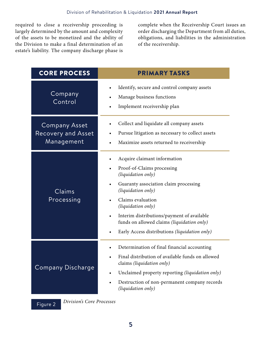required to close a receivership proceeding is largely determined by the amount and complexity of the assets to be monetized and the ability of the Division to make a final determination of an estate's liability. The company discharge phase is

complete when the Receivership Court issues an order discharging the Department from all duties, obligations, and liabilities in the administration of the receivership.

| <b>CORE PROCESS</b>                                             | <b>PRIMARY TASKS</b>                                                                                                                                                                                                                                                                                                                                 |
|-----------------------------------------------------------------|------------------------------------------------------------------------------------------------------------------------------------------------------------------------------------------------------------------------------------------------------------------------------------------------------------------------------------------------------|
| Company<br>Control                                              | Identify, secure and control company assets<br>$\bullet$<br>Manage business functions<br>Implement receivership plan<br>$\bullet$                                                                                                                                                                                                                    |
| <b>Company Asset</b><br><b>Recovery and Asset</b><br>Management | Collect and liquidate all company assets<br>Pursue litigation as necessary to collect assets<br>Maximize assets returned to receivership<br>$\bullet$                                                                                                                                                                                                |
| Claims<br>Processing                                            | Acquire claimant information<br>Proof-of-Claims processing<br>(liquidation only)<br>Guaranty association claim processing<br>(liquidation only)<br>Claims evaluation<br>(liquidation only)<br>Interim distributions/payment of available<br>$\bullet$<br>funds on allowed claims (liquidation only)<br>Early Access distributions (liquidation only) |
| Company Discharge                                               | Determination of final financial accounting<br>Final distribution of available funds on allowed<br>claims (liquidation only)<br>Unclaimed property reporting (liquidation only)<br>$\bullet$<br>Destruction of non-permanent company records<br>$\bullet$<br>(liquidation only)                                                                      |

*Division's Core Processes* Figure 2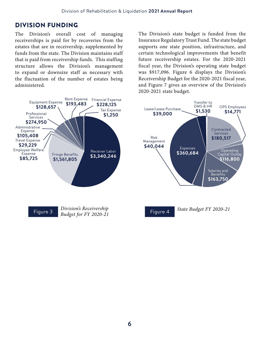#### DIVISION FUNDING

The Division's overall cost of managing receiverships is paid for by recoveries from the estates that are in receivership, supplemented by funds from the state. The Division maintains staff that is paid from receivership funds. This staffing structure allows the Division's management to expand or downsize staff as necessary with the fluctuation of the number of estates being administered.



The Division's state budget is funded from the Insurance Regulatory Trust Fund. The state budget supports one state position, infrastructure, and certain technological improvements that benefit future receivership estates. For the 2020-2021 fiscal year, the Division's operating state budget was \$917,096. Figure 6 displays the Division's Receivership Budget for the 2020-2021 fiscal year, and Figure 7 gives an overview of the Division's 2020-2021 state budget.





**6**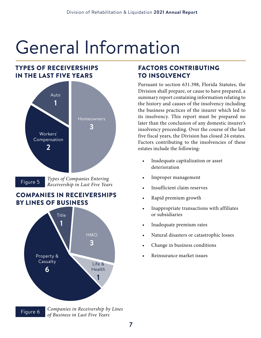# General Information

#### TYPES OF RECEIVERSHIPS IN THE LAST FIVE YEARS



*Types of Companies Entering*  **Figure 5** *Receivership in Last Five Years Receivership in Last Five Years* 

#### COMPANIES IN RECEIVERSHIPS BY LINES OF BUSINESS



*Companies in Receivership by Lines*  Figure 6 *Companies in Receiversing by*<br>*of Business in Last Five Years* 

#### FACTORS CONTRIBUTING TO INSOLVENCY

Pursuant to section 631.398, Florida Statutes, the Division shall prepare, or cause to have prepared, a summary report containing information relating to the history and causes of the insolvency including the business practices of the insurer which led to its insolvency. This report must be prepared no later than the conclusion of any domestic insurer's insolvency proceeding. Over the course of the last five fiscal years, the Division has closed 24 estates. Factors contributing to the insolvencies of these estates include the following:

- Inadequate capitalization or asset deterioration
- Improper management
- Insufficient claim reserves
- Rapid premium growth
- Inappropriate transactions with affiliates or subsidiaries
- Inadequate premium rates
- Natural disasters or catastrophic losses
- Change in business conditions
- Reinsurance market issues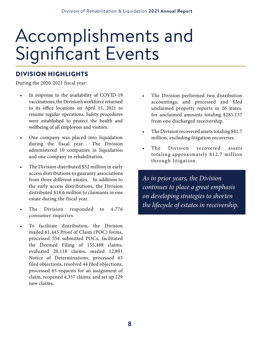# Accomplishments and Significant Events

#### DIVISION HIGHLIGHTS

During the 2020-2021 fiscal year:

- In response to the availability of COVID-19 vaccinations, the Division's workforce returned to its office locations on April 15, 2021 to resume regular operations. Safety procedures were established to protect the health and wellbeing of all employees and visitors.
- One company was placed into liquidation during the fiscal year. The Division administered 10 companies in liquidation and one company in rehabilitation.
- The Division distributed \$52 million in early access distributions to guaranty associations from three different estates. In addition to the early access distributions, the Division distributed \$18.6 million to claimants in one estate during the fiscal year.
- The Division responded to 4,776 consumer inquiries.
- To facilitate distribution, the Division mailed 61,445 Proof of Claim (POC) forms, processed 554 submitted POCs, facilitated the Deemed Filing of 155,488 claims, evaluated 20,118 claims, mailed 12,891 Notice of Determinations, processed 63 filed objections, resolved 44 filed objections, processed 65 requests for an assignment of claim, reopened 4,357 claims, and set up 229 new claims.
- The Division performed two distribution accountings, and processed and filed unclaimed property reports in 26 states, for unclaimed amounts totaling \$285,157 from one discharged receivership.
- The Division recovered assets totaling \$41.7 million, excluding litigation recoveries.
- The Division recovered assets totaling approximately \$12.7 million through litigation.

*As in prior years, the Division continues to place a great emphasis on developing strategies to shorten the lifecycle of estates in receivership.*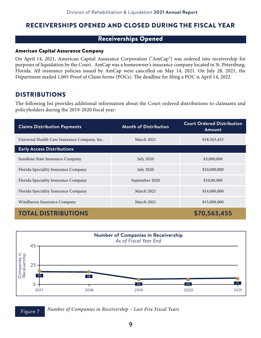#### RECEIVERSHIPS OPENED AND CLOSED DURING THE FISCAL YEAR

#### Receiverships Opened

#### American Capital Assurance Company

On April 14, 2021, American Capital Assurance Corporation ("AmCap") was ordered into receivership for purposes of liquidation by the Court. AmCap was a homeowner's insurance company located in St. Petersburg, Florida. All insurance policies issued by AmCap were cancelled on May 14, 2021. On July 28, 2021, the Department mailed 1,005 Proof of Claim forms (POCs). The deadline for filing a POC is April 14, 2022.

#### DISTRIBUTIONS

The following list provides additional information about the Court ordered distributions to claimants and policyholders during the 2019-2020 fiscal year:

| <b>Claims Distribution Payments</b>           | <b>Month of Distribution</b> | <b>Court Ordered Distribution</b><br>Amount |
|-----------------------------------------------|------------------------------|---------------------------------------------|
| Universal Health Care Insurance Company, Inc. | March 2021                   | \$18,563,455                                |
| <b>Early Access Distributions</b>             |                              |                                             |
| Sunshine State Insurance Company              | <b>July 2020</b>             | \$3,000,000                                 |
| Florida Speciality Insurance Company          | <b>July 2020</b>             | \$10,000,000                                |
| Florida Speciality Insurance Company          | September 2020               | \$10,00,000                                 |
| Florida Speciality Insurance Company          | March 2021                   | \$14,000,000                                |
| Windhaven Insurance Company                   | March 2021                   | \$15,000,000                                |
| <b>TOTAL DISTRIBUTIONS</b>                    |                              | \$70,563,455                                |



**Figure 7** Number of Companies in Receivership – Last Five Fiscal Years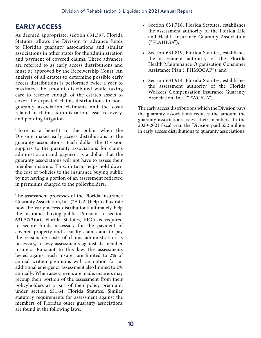#### EARLY ACCESS

As deemed appropriate, section 631.397, Florida Statutes, allows the Division to advance funds to Florida's guaranty associations and similar associations in other states for the administration and payment of covered claims. These advances are referred to as early access distributions and must be approved by the Receivership Court. An analysis of all estates to determine possible early access distributions is performed twice a year to maximize the amount distributed while taking care to reserve enough of the estate's assets to cover the expected claims distributions to nonguaranty association claimants and the costs related to claims administration, asset recovery, and pending litigation.

There is a benefit to the public when the Division makes early access distributions to the guaranty associations. Each dollar the Division supplies to the guaranty associations for claims administration and payment is a dollar that the guaranty associations will not have to assess their member insurers. This, in turn, helps hold down the cost of policies to the insurance buying public by not having a portion of an assessment reflected in premiums charged to the policyholders.

The assessment processes of the Florida Insurance Guaranty Association, Inc. ("FIGA") help to illustrate how the early access distributions ultimately help the insurance buying public. Pursuant to section 631.57(3)(a), Florida Statutes, FIGA is required to secure funds necessary for the payment of covered property and casualty claims and to pay the reasonable costs of claims administration as necessary, to levy assessments against its member insurers. Pursuant to this law, the assessments levied against each insurer are limited to 2% of annual written premiums with an option for an additional emergency assessment also limited to 2% annually. When assessments are made, insurers may recoup their portion of the assessment from their policyholders as a part of their policy premium, under section 631.64, Florida Statutes. Similar statutory requirements for assessment against the members of Florida's other guaranty associations are found in the following laws:

- Section 631.718, Florida Statutes, establishes the assessment authority of the Florida Life and Health Insurance Guaranty Association ("FLAHIGA");
- Section 631.819, Florida Statutes, establishes the assessment authority of the Florida Health Maintenance Organization Consumer Assistance Plan ("FHMOCAP"); and
- Section 631.914, Florida Statutes, establishes the assessment authority of the Florida Workers' Compensation Insurance Guaranty Association, Inc. ("FWCIGA").

The early access distributions which the Division pays the guaranty associations reduces the amount the guaranty associations assess their members. In the 2020-2021 fiscal year, the Division paid \$52 million in early access distributions to guaranty associations.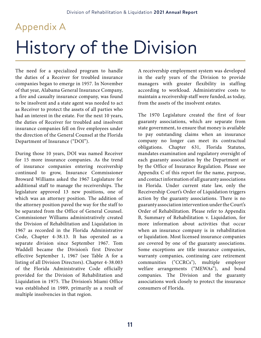## Appendix A

# History of the Division

The need for a specialized program to handle the duties of a Receiver for troubled insurance companies began to emerge in 1957. In November of that year, Alabama General Insurance Company, a fire and casualty insurance company, was found to be insolvent and a state agent was needed to act as Receiver to protect the assets of all parties who had an interest in the estate. For the next 10 years, the duties of Receiver for troubled and insolvent insurance companies fell on five employees under the direction of the General Counsel at the Florida Department of Insurance ("DOI").

During those 10 years, DOI was named Receiver for 15 more insurance companies. As the trend of insurance companies entering receivership continued to grow, Insurance Commissioner Broward Williams asked the 1967 Legislature for additional staff to manage the receiverships. The legislature approved 13 new positions, one of which was an attorney position. The addition of the attorney position paved the way for the staff to be separated from the Office of General Counsel. Commissioner Williams administratively created the Division of Rehabilitation and Liquidation in 1967 as recorded in the Florida Administrative Code, Chapter 4-38.13. It has operated as a separate division since September 1967. Tom Waddell became the Division's first Director effective September 1, 1967 (see Table A for a listing of all Division Directors). Chapter 4-38.003 of the Florida Administrative Code officially provided for the Division of Rehabilitation and Liquidation in 1975. The Division's Miami Office was established in 1989, primarily as a result of multiple insolvencies in that region.

A receivership employment system was developed in the early years of the Division to provide managers with greater flexibility in staffing according to workload. Administrative costs to maintain a receivership staff were funded, as today, from the assets of the insolvent estates.

The 1970 Legislature created the first of four guaranty associations, which are separate from state government, to ensure that money is available to pay outstanding claims when an insurance company no longer can meet its contractual obligations. Chapter 631, Florida Statutes, mandates examination and regulatory oversight of each guaranty association by the Department or by the Office of Insurance Regulation. Please see Appendix C of this report for the name, purpose, and contact information of all guaranty associations in Florida. Under current state law, only the Receivership Court's Order of Liquidation triggers action by the guaranty associations. There is no guaranty association intervention under the Court's Order of Rehabilitation. Please refer to Appendix B, Summary of Rehabilitation v. Liquidation, for more information about activities that occur when an insurance company is in rehabilitation or liquidation. Most licensed insurance companies are covered by one of the guaranty associations. Some exceptions are title insurance companies, warranty companies, continuing care retirement communities ("CCRCs"), multiple employer welfare arrangements ("MEWAs"), and bond companies. The Division and the guaranty associations work closely to protect the insurance consumers of Florida.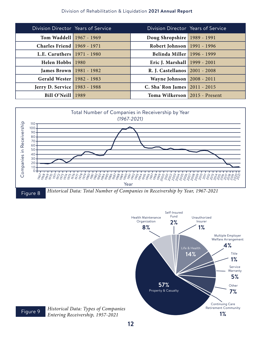#### Division of Rehabilitation & Liquidation **2021 Annual Report**

| Division Director Years of Service    | Division Director Years of Service |  |
|---------------------------------------|------------------------------------|--|
| Tom Waddell   1967 - 1969             | Doug Shropshire   1989 - 1991      |  |
| <b>Charles Friend 1969 - 1971</b>     | Robert Johnson   1991 - 1996       |  |
| L.E. Caruthers   1971 - 1980          | Belinda Miller   1996 - 1999       |  |
| Helen Hobbs 1980                      | Eric J. Marshall   1999 - 2001     |  |
| <b>James Brown</b>   1981 - 1982      | R. J. Castellanos   2001 - 2008    |  |
| Gerald Wester   1982 - 1983           | Wayne Johnson   2008 - 2011        |  |
| <b>Jerry D. Service</b>   1983 - 1988 | C. Sha'Ron James   2011 - 2015     |  |
| Bill O'Neill   1989                   | Toma Wilkerson   2015 - Present    |  |





*Historical Data: Types of Companies*  Figure 9 **Entering Receivership**, 1957-2021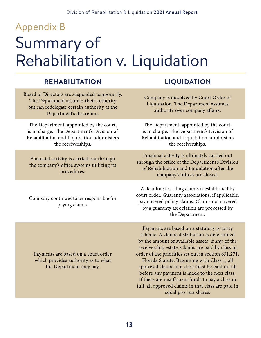# Summary of Rehabilitation v. Liquidation Appendix B

#### **REHABILITATION LIQUIDATION**

Board of Directors are suspended temporarily. The Department assumes their authority but can redelegate certain authority at the Department's discretion.

The Department, appointed by the court, is in charge. The Department's Division of Rehabilitation and Liquidation administers the receiverships.

Financial activity is carried out through the company's office systems utilizing its procedures.

Company continues to be responsible for paying claims.

Payments are based on a court order which provides authority as to what the Department may pay.

Company is dissolved by Court Order of Liquidation. The Department assumes authority over company affairs.

The Department, appointed by the court, is in charge. The Department's Division of Rehabilitation and Liquidation administers the receiverships.

Financial activity is ultimately carried out through the office of the Department's Division of Rehabilitation and Liquidation after the company's offices are closed.

A deadline for filing claims is established by court order. Guaranty associations, if applicable, pay covered policy claims. Claims not covered by a guaranty association are processed by the Department.

Payments are based on a statutory priority scheme. A claims distribution is determined by the amount of available assets, if any, of the receivership estate. Claims are paid by class in order of the priorities set out in section 631.271, Florida Statute. Beginning with Class 1, all approved claims in a class must be paid in full before any payment is made to the next class. If there are insufficient funds to pay a class in full, all approved claims in that class are paid in equal pro rata shares.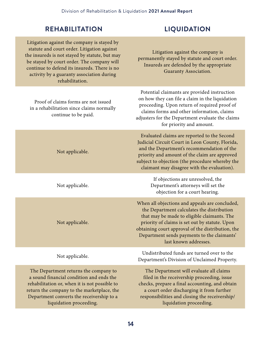#### Division of Rehabilitation & Liquidation **2021 Annual Report**

#### **REHABILITATION LIQUIDATION**

liquidation proceeding.

| Litigation against the company is stayed by<br>statute and court order. Litigation against<br>the insureds is not stayed by statute, but may<br>be stayed by court order. The company will<br>continue to defend its insureds. There is no<br>activity by a guaranty association during<br>rehabilitation. | Litigation against the company is<br>permanently stayed by statute and court order.<br>Insureds are defended by the appropriate<br>Guaranty Association.                                                                                                                                                                   |
|------------------------------------------------------------------------------------------------------------------------------------------------------------------------------------------------------------------------------------------------------------------------------------------------------------|----------------------------------------------------------------------------------------------------------------------------------------------------------------------------------------------------------------------------------------------------------------------------------------------------------------------------|
| Proof of claims forms are not issued<br>in a rehabilitation since claims normally<br>continue to be paid.                                                                                                                                                                                                  | Potential claimants are provided instruction<br>on how they can file a claim in the liquidation<br>proceeding. Upon return of required proof of<br>claims forms and other information, claims<br>adjusters for the Department evaluate the claims<br>for priority and amount.                                              |
| Not applicable.                                                                                                                                                                                                                                                                                            | Evaluated claims are reported to the Second<br>Judicial Circuit Court in Leon County, Florida,<br>and the Department's recommendation of the<br>priority and amount of the claim are approved<br>subject to objection (the procedure whereby the<br>claimant may disagree with the evaluation).                            |
| Not applicable.                                                                                                                                                                                                                                                                                            | If objections are unresolved, the<br>Department's attorneys will set the<br>objection for a court hearing.                                                                                                                                                                                                                 |
| Not applicable.                                                                                                                                                                                                                                                                                            | When all objections and appeals are concluded,<br>the Department calculates the distribution<br>that may be made to eligible claimants. The<br>priority of claims is set out by statute. Upon<br>obtaining court approval of the distribution, the<br>Department sends payments to the claimants'<br>last known addresses. |
| Not applicable.                                                                                                                                                                                                                                                                                            | Undistributed funds are turned over to the<br>Department's Division of Unclaimed Property.                                                                                                                                                                                                                                 |
| The Department returns the company to<br>a sound financial condition and ends the<br>rehabilitation or, when it is not possible to<br>return the company to the marketplace, the<br>Department converts the receivership to a                                                                              | The Department will evaluate all claims<br>filed in the receivership proceeding, issue<br>checks, prepare a final accounting, and obtain<br>a court order discharging it from further<br>responsibilities and closing the receivership/                                                                                    |

**14**

liquidation proceeding.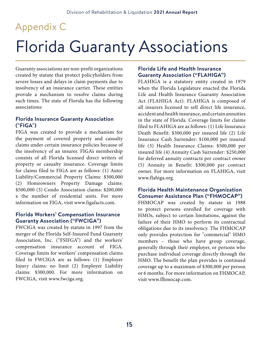## Appendix C

# Florida Guaranty Associations

Guaranty associations are non-profit organizations created by statute that protect policyholders from severe losses and delays in claim payments due to insolvency of an insurance carrier. These entities provide a mechanism to resolve claims during such times. The state of Florida has the following associations:

#### **Florida Insurance Guaranty Association ("FIGA")**

FIGA was created to provide a mechanism for the payment of covered property and casualty claims under certain insurance policies because of the insolvency of an insurer. FIGA's membership consists of all Florida licensed direct writers of property or casualty insurance. Coverage limits for claims filed to FIGA are as follows: (1) Auto/ Liability/Commercial Property Claims: \$300,000 (2) Homeowners Property Damage claims: \$500,000 (3) Condo Association claims: \$200,000 x the number of residential units. For more information on FIGA, visit www.figafacts.com.

#### **Florida Workers' Compensation Insurance Guaranty Association ("FWCIGA")**

FWCIGA was created by statute in 1997 from the merger of the Florida Self-Insured Fund Guaranty Association, Inc. ("FSIFGA") and the workers' compensation insurance account of FIGA. Coverage limits for workers' compensation claims filed to FWCIGA are as follows: (1) Employer Injury claims: no limit (2) Employer Liability claims: \$300,000. For more information on FWCIGA, visit www.fwciga.org.

#### **Florida Life and Health Insurance Guaranty Association ("FLAHIGA")**

FLAHIGA is a statutory entity created in 1979 when the Florida Legislature enacted the Florida Life and Health Insurance Guaranty Association Act (FLAHIGA Act). FLAHIGA is composed of all insurers licensed to sell direct life insurance, accident and health insurance, and certain annuities in the state of Florida. Coverage limits for claims filed to FLAHIGA are as follows: (1) Life Insurance Death Benefit: \$300,000 per insured life (2) Life Insurance Cash Surrender: \$100,000 per insured life (3) Health Insurance Claims: \$500,000 per insured life (4) Annuity Cash Surrender: \$250,000 for deferred annuity contracts per contract owner (5) Annuity in Benefit: \$300,000 per contract owner. For more information on FLAHIGA, visit www.flahiga.org.

#### **Florida Health Maintenance Organization Consumer Assistance Plan ("FHMOCAP")**

FHMOCAP was created by statute in 1988 to protect persons enrolled for coverage with HMOs, subject to certain limitations, against the failure of their HMO to perform its contractual obligations due to its insolvency. The FHMOCAP only provides protection for "commercial" HMO members – those who have group coverage, generally through their employer, or persons who purchase individual coverage directly through the HMO. The benefit the plan provides is continued coverage up to a maximum of \$300,000 per person or 6 months. For more information on FHMOCAP, visit www.flhmocap.com.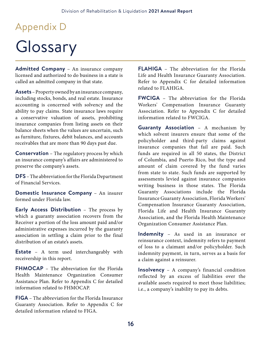# Appendix D

# Glossary

**Admitted Company** – An insurance company licensed and authorized to do business in a state is called an admitted company in that state.

**Assets** – Property owned by an insurance company, including stocks, bonds, and real estate. Insurance accounting is concerned with solvency and the ability to pay claims. State insurance laws require a conservative valuation of assets, prohibiting insurance companies from listing assets on their balance sheets when the values are uncertain, such as furniture, fixtures, debit balances, and accounts receivables that are more than 90 days past due.

**Conservation** – The regulatory process by which an insurance company's affairs are administered to preserve the company's assets.

**DFS** – The abbreviation for the Florida Department of Financial Services.

**Domestic Insurance Company** – An insurer formed under Florida law.

**Early Access Distribution** – The process by which a guaranty association recovers from the Receiver a portion of the loss amount paid and/or administrative expenses incurred by the guaranty association in settling a claim prior to the final distribution of an estate's assets.

**Estate** – A term used interchangeably with receivership in this report.

**FHMOCAP** – The abbreviation for the Florida Health Maintenance Organization Consumer Assistance Plan. Refer to Appendix C for detailed information related to FHMOCAP.

**FIGA** – The abbreviation for the Florida Insurance Guaranty Association. Refer to Appendix C for detailed information related to FIGA.

**FLAHIGA** – The abbreviation for the Florida Life and Health Insurance Guaranty Association. Refer to Appendix C for detailed information related to FLAHIGA.

**FWCIGA** – The abbreviation for the Florida Workers' Compensation Insurance Guaranty Association. Refer to Appendix C for detailed information related to FWCIGA.

**Guaranty Association** – A mechanism by which solvent insurers ensure that some of the policyholder and third-party claims against insurance companies that fail are paid. Such funds are required in all 50 states, the District of Columbia, and Puerto Rico, but the type and amount of claim covered by the fund varies from state to state. Such funds are supported by assessments levied against insurance companies writing business in those states. The Florida Guaranty Associations include the Florida Insurance Guaranty Association, Florida Workers' Compensation Insurance Guaranty Association, Florida Life and Health Insurance Guaranty Association, and the Florida Health Maintenance Organization Consumer Assistance Plan.

**Indemnity** – As used in an insurance or reinsurance context, indemnity refers to payment of loss to a claimant and/or policyholder. Such indemnity payment, in turn, serves as a basis for a claim against a reinsurer.

**Insolvency** – A company's financial condition reflected by an excess of liabilities over the available assets required to meet those liabilities; i.e., a company's inability to pay its debts.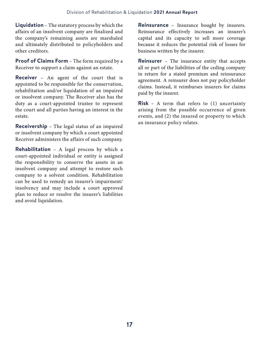**Liquidation** – The statutory process by which the affairs of an insolvent company are finalized and the company's remaining assets are marshaled and ultimately distributed to policyholders and other creditors.

**Proof of Claims Form** – The form required by a Receiver to support a claim against an estate.

**Receiver** – An agent of the court that is appointed to be responsible for the conservation, rehabilitation and/or liquidation of an impaired or insolvent company. The Receiver also has the duty as a court-appointed trustee to represent the court and all parties having an interest in the estate.

**Receivership** – The legal status of an impaired or insolvent company by which a court appointed Receiver administers the affairs of such company.

**Rehabilitation** – A legal process by which a court-appointed individual or entity is assigned the responsibility to conserve the assets in an insolvent company and attempt to restore such company to a solvent condition. Rehabilitation can be used to remedy an insurer's impairment/ insolvency and may include a court approved plan to reduce or resolve the insurer's liabilities and avoid liquidation.

**Reinsurance** – Insurance bought by insurers. Reinsurance effectively increases an insurer's capital and its capacity to sell more coverage because it reduces the potential risk of losses for business written by the insurer.

**Reinsurer** – The insurance entity that accepts all or part of the liabilities of the ceding company in return for a stated premium and reinsurance agreement. A reinsurer does not pay policyholder claims. Instead, it reimburses insurers for claims paid by the insurer.

**Risk** – A term that refers to (1) uncertainty arising from the possible occurrence of given events, and (2) the insured or property to which an insurance policy relates.